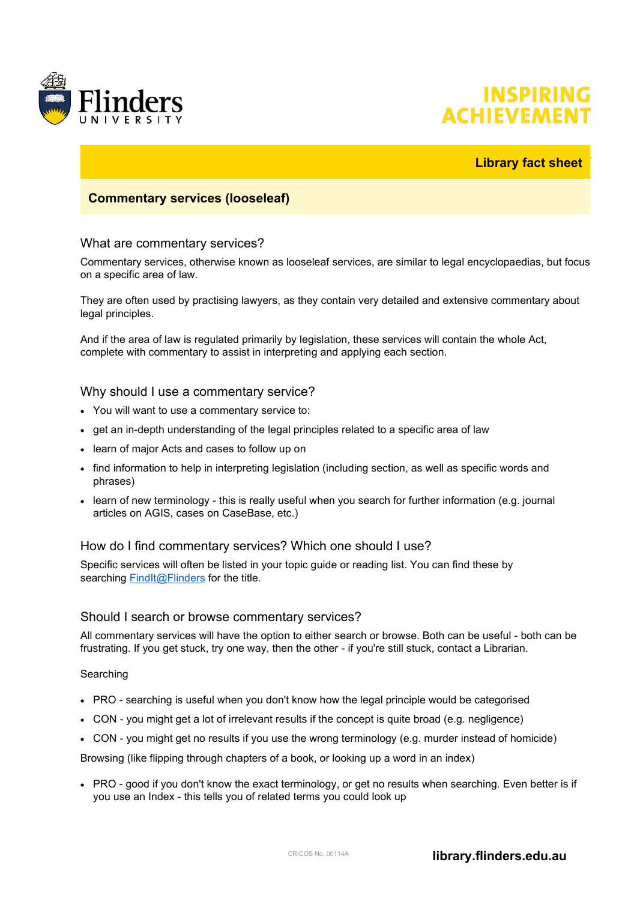

# **INSPIRING ACHIEVEME**

## **Library fact sheet**

## **Commentary services (looseleaf)**

#### What are commentary services?

Commentary services, otherwise known as looseleaf services, are similar to legal encyclopaedias, but focus on a specific area of law.

They are often used by practising lawyers, as they contain very detailed and extensive commentary about legal principles.

And if the area of law is regulated primarily by legislation, these services will contain the whole Act, complete with commentary to assist in interpreting and applying each section.

#### Why should I use a commentary service?

- You will want to use a commentary service to:
- get an in-depth understanding of the legal principles related to a specific area of law
- learn of major Acts and cases to follow up on
- find information to help in interpreting legislation (including section, as well as specific words and phrases)
- learn of new terminology this is really useful when you search for further information (e.g. journal articles on AGIS, cases on CaseBase, etc.)

#### How do I find commentary services? Which one should I use?

Specific services will often be listed in your topic guide or reading list. You can find these by searching **[FindIt@Flinders](https://ezproxy.flinders.edu.au/login?url=http://flinders-primo.hosted.exlibrisgroup.com/primo_library/libweb/action/search.do?vid=FUL)** for the title.

#### Should I search or browse commentary services?

All commentary services will have the option to either search or browse. Both can be useful - both can be frustrating. If you get stuck, try one way, then the other - if you're still stuck, contact a Librarian.

**Searching** 

- PRO searching is useful when you don't know how the legal principle would be categorised
- CON you might get a lot of irrelevant results if the concept is quite broad (e.g. negligence)
- CON you might get no results if you use the wrong terminology (e.g. murder instead of homicide)

Browsing (like flipping through chapters of a book, or looking up a word in an index)

• PRO - good if you don't know the exact terminology, or get no results when searching. Even better is if you use an Index - this tells you of related terms you could look up